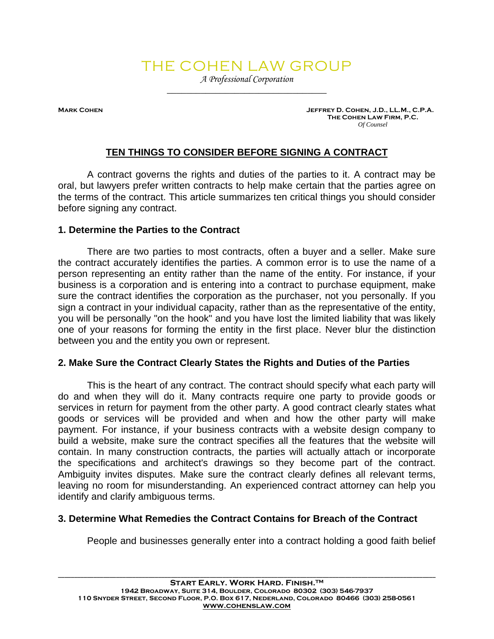# THE COHEN LAW GROUP

*A Professional Corporation \_\_\_\_\_\_\_\_\_\_\_\_\_\_\_\_\_\_\_\_\_\_\_\_\_\_\_\_\_\_\_\_\_* 

MARK COHEN **MARK COHEN AREA DESIGNATIVE OF A SET A** SERVER OF A SERVER J.D., LL.M., C.P.A.  **The Cohen Law Firm, P.C.** *Of Counsel* 

# **TEN THINGS TO CONSIDER BEFORE SIGNING A CONTRACT**

A contract governs the rights and duties of the parties to it. A contract may be oral, but lawyers prefer written contracts to help make certain that the parties agree on the terms of the contract. This article summarizes ten critical things you should consider before signing any contract.

#### **1. Determine the Parties to the Contract**

There are two parties to most contracts, often a buyer and a seller. Make sure the contract accurately identifies the parties. A common error is to use the name of a person representing an entity rather than the name of the entity. For instance, if your business is a corporation and is entering into a contract to purchase equipment, make sure the contract identifies the corporation as the purchaser, not you personally. If you sign a contract in your individual capacity, rather than as the representative of the entity, you will be personally "on the hook" and you have lost the limited liability that was likely one of your reasons for forming the entity in the first place. Never blur the distinction between you and the entity you own or represent.

#### **2. Make Sure the Contract Clearly States the Rights and Duties of the Parties**

This is the heart of any contract. The contract should specify what each party will do and when they will do it. Many contracts require one party to provide goods or services in return for payment from the other party. A good contract clearly states what goods or services will be provided and when and how the other party will make payment. For instance, if your business contracts with a website design company to build a website, make sure the contract specifies all the features that the website will contain. In many construction contracts, the parties will actually attach or incorporate the specifications and architect's drawings so they become part of the contract. Ambiguity invites disputes. Make sure the contract clearly defines all relevant terms, leaving no room for misunderstanding. An experienced contract attorney can help you identify and clarify ambiguous terms.

#### **3. Determine What Remedies the Contract Contains for Breach of the Contract**

People and businesses generally enter into a contract holding a good faith belief

**\_\_\_\_\_\_\_\_\_\_\_\_\_\_\_\_\_\_\_\_\_\_\_\_\_\_\_\_\_\_\_\_\_\_\_\_\_\_\_\_\_\_\_\_\_\_\_\_\_\_\_\_\_\_\_\_\_\_\_\_\_\_\_\_\_\_\_\_\_\_\_\_\_\_\_\_\_\_\_\_\_\_\_\_\_\_\_\_\_\_\_\_\_\_\_\_\_\_\_\_\_\_\_\_\_\_\_\_\_\_\_\_\_\_\_\_\_**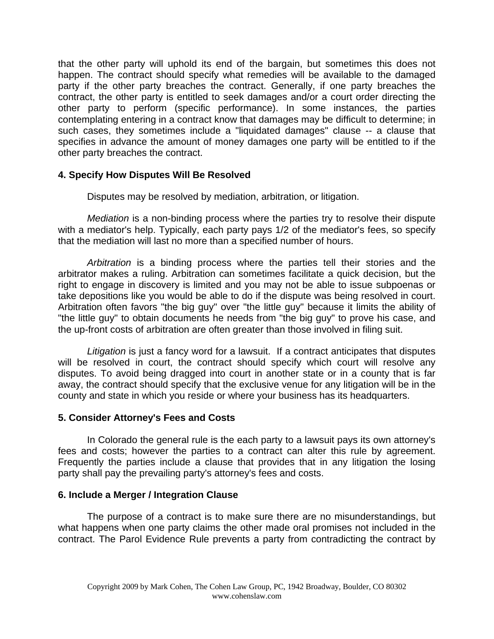that the other party will uphold its end of the bargain, but sometimes this does not happen. The contract should specify what remedies will be available to the damaged party if the other party breaches the contract. Generally, if one party breaches the contract, the other party is entitled to seek damages and/or a court order directing the other party to perform (specific performance). In some instances, the parties contemplating entering in a contract know that damages may be difficult to determine; in such cases, they sometimes include a "liquidated damages" clause -- a clause that specifies in advance the amount of money damages one party will be entitled to if the other party breaches the contract.

## **4. Specify How Disputes Will Be Resolved**

Disputes may be resolved by mediation, arbitration, or litigation.

*Mediation* is a non-binding process where the parties try to resolve their dispute with a mediator's help. Typically, each party pays 1/2 of the mediator's fees, so specify that the mediation will last no more than a specified number of hours.

*Arbitration* is a binding process where the parties tell their stories and the arbitrator makes a ruling. Arbitration can sometimes facilitate a quick decision, but the right to engage in discovery is limited and you may not be able to issue subpoenas or take depositions like you would be able to do if the dispute was being resolved in court. Arbitration often favors "the big guy" over "the little guy" because it limits the ability of "the little guy" to obtain documents he needs from "the big guy" to prove his case, and the up-front costs of arbitration are often greater than those involved in filing suit.

*Litigation* is just a fancy word for a lawsuit. If a contract anticipates that disputes will be resolved in court, the contract should specify which court will resolve any disputes. To avoid being dragged into court in another state or in a county that is far away, the contract should specify that the exclusive venue for any litigation will be in the county and state in which you reside or where your business has its headquarters.

## **5. Consider Attorney's Fees and Costs**

In Colorado the general rule is the each party to a lawsuit pays its own attorney's fees and costs; however the parties to a contract can alter this rule by agreement. Frequently the parties include a clause that provides that in any litigation the losing party shall pay the prevailing party's attorney's fees and costs.

## **6. Include a Merger / Integration Clause**

The purpose of a contract is to make sure there are no misunderstandings, but what happens when one party claims the other made oral promises not included in the contract. The Parol Evidence Rule prevents a party from contradicting the contract by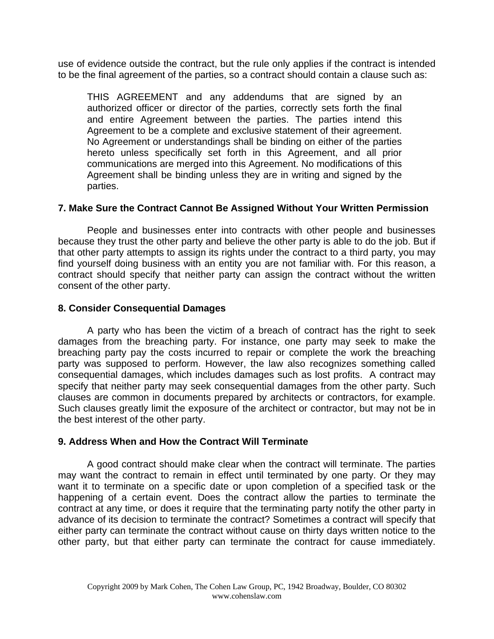use of evidence outside the contract, but the rule only applies if the contract is intended to be the final agreement of the parties, so a contract should contain a clause such as:

THIS AGREEMENT and any addendums that are signed by an authorized officer or director of the parties, correctly sets forth the final and entire Agreement between the parties. The parties intend this Agreement to be a complete and exclusive statement of their agreement. No Agreement or understandings shall be binding on either of the parties hereto unless specifically set forth in this Agreement, and all prior communications are merged into this Agreement. No modifications of this Agreement shall be binding unless they are in writing and signed by the parties.

## **7. Make Sure the Contract Cannot Be Assigned Without Your Written Permission**

People and businesses enter into contracts with other people and businesses because they trust the other party and believe the other party is able to do the job. But if that other party attempts to assign its rights under the contract to a third party, you may find yourself doing business with an entity you are not familiar with. For this reason, a contract should specify that neither party can assign the contract without the written consent of the other party.

#### **8. Consider Consequential Damages**

A party who has been the victim of a breach of contract has the right to seek damages from the breaching party. For instance, one party may seek to make the breaching party pay the costs incurred to repair or complete the work the breaching party was supposed to perform. However, the law also recognizes something called consequential damages, which includes damages such as lost profits. A contract may specify that neither party may seek consequential damages from the other party. Such clauses are common in documents prepared by architects or contractors, for example. Such clauses greatly limit the exposure of the architect or contractor, but may not be in the best interest of the other party.

## **9. Address When and How the Contract Will Terminate**

A good contract should make clear when the contract will terminate. The parties may want the contract to remain in effect until terminated by one party. Or they may want it to terminate on a specific date or upon completion of a specified task or the happening of a certain event. Does the contract allow the parties to terminate the contract at any time, or does it require that the terminating party notify the other party in advance of its decision to terminate the contract? Sometimes a contract will specify that either party can terminate the contract without cause on thirty days written notice to the other party, but that either party can terminate the contract for cause immediately.